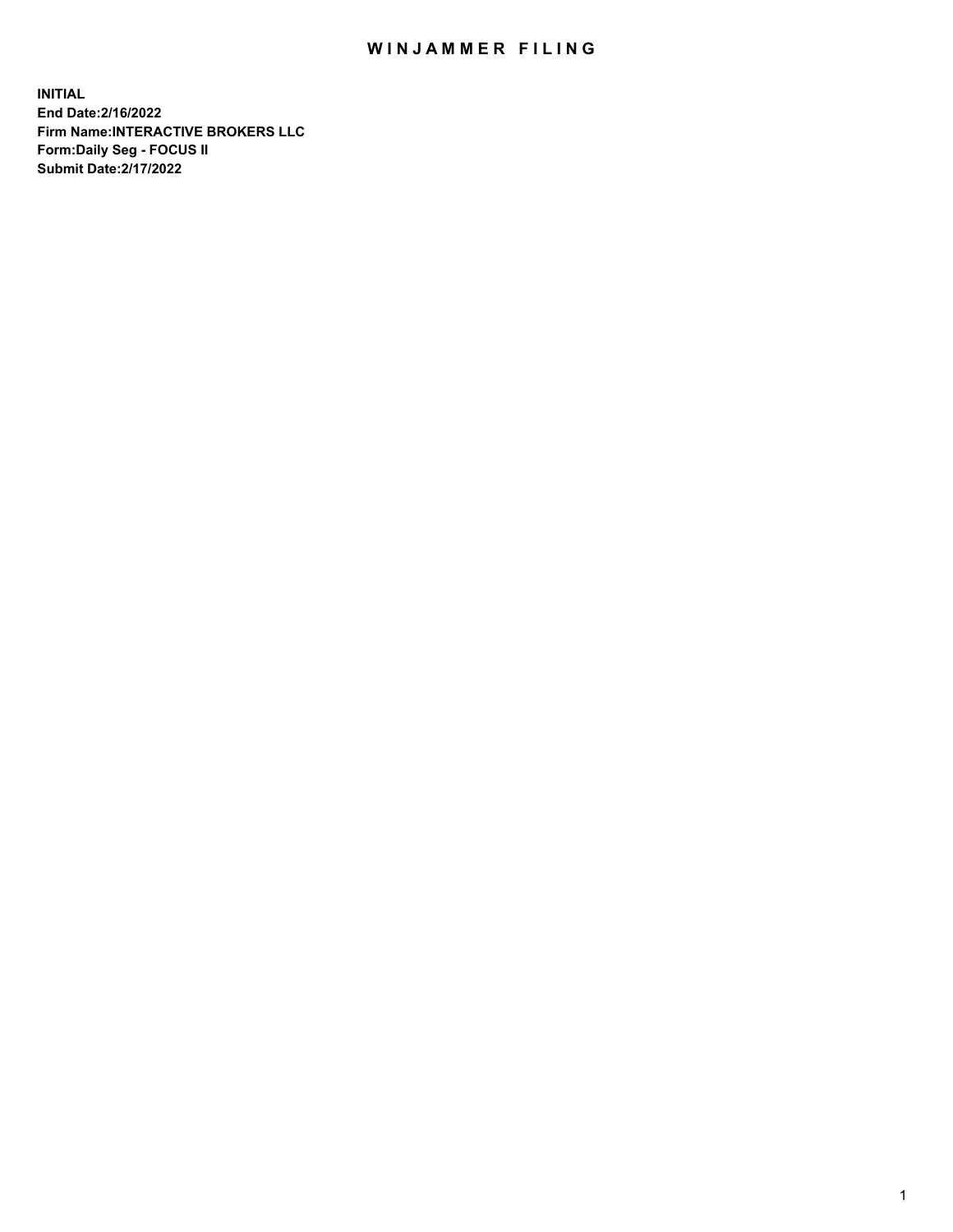## WIN JAMMER FILING

**INITIAL End Date:2/16/2022 Firm Name:INTERACTIVE BROKERS LLC Form:Daily Seg - FOCUS II Submit Date:2/17/2022**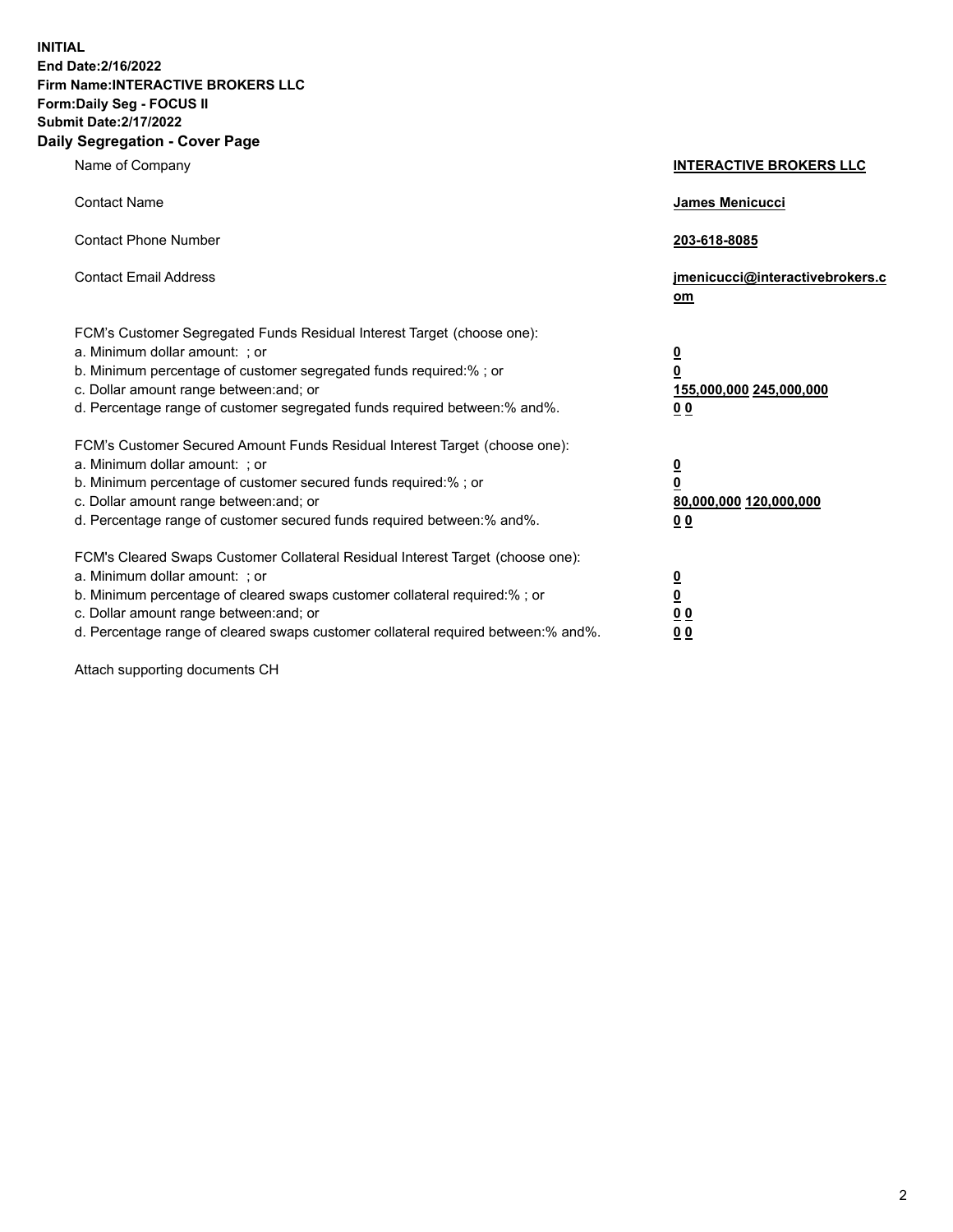**INITIAL End Date:2/16/2022 Firm Name:INTERACTIVE BROKERS LLC Form:Daily Seg - FOCUS II Submit Date:2/17/2022 Daily Segregation - Cover Page**

| Name of Company                                                                                                                                                                                                                                                                                                               | <b>INTERACTIVE BROKERS LLC</b>                                                                  |  |
|-------------------------------------------------------------------------------------------------------------------------------------------------------------------------------------------------------------------------------------------------------------------------------------------------------------------------------|-------------------------------------------------------------------------------------------------|--|
| <b>Contact Name</b>                                                                                                                                                                                                                                                                                                           | James Menicucci                                                                                 |  |
| <b>Contact Phone Number</b>                                                                                                                                                                                                                                                                                                   | 203-618-8085                                                                                    |  |
| <b>Contact Email Address</b>                                                                                                                                                                                                                                                                                                  | jmenicucci@interactivebrokers.c<br><u>om</u>                                                    |  |
| FCM's Customer Segregated Funds Residual Interest Target (choose one):<br>a. Minimum dollar amount: ; or<br>b. Minimum percentage of customer segregated funds required:% ; or<br>c. Dollar amount range between: and; or<br>d. Percentage range of customer segregated funds required between:% and%.                        | $\overline{\mathbf{0}}$<br>$\overline{\mathbf{0}}$<br>155,000,000 245,000,000<br>0 <sub>0</sub> |  |
| FCM's Customer Secured Amount Funds Residual Interest Target (choose one):<br>a. Minimum dollar amount: ; or<br>b. Minimum percentage of customer secured funds required:%; or<br>c. Dollar amount range between: and; or<br>d. Percentage range of customer secured funds required between:% and%.                           | $\overline{\mathbf{0}}$<br>$\overline{\mathbf{0}}$<br>80,000,000 120,000,000<br>0 <sub>0</sub>  |  |
| FCM's Cleared Swaps Customer Collateral Residual Interest Target (choose one):<br>a. Minimum dollar amount: ; or<br>b. Minimum percentage of cleared swaps customer collateral required:%; or<br>c. Dollar amount range between: and; or<br>d. Percentage range of cleared swaps customer collateral required between:% and%. | $\overline{\mathbf{0}}$<br>$\overline{\mathbf{0}}$<br>0 <sub>0</sub><br>0 <sub>0</sub>          |  |

Attach supporting documents CH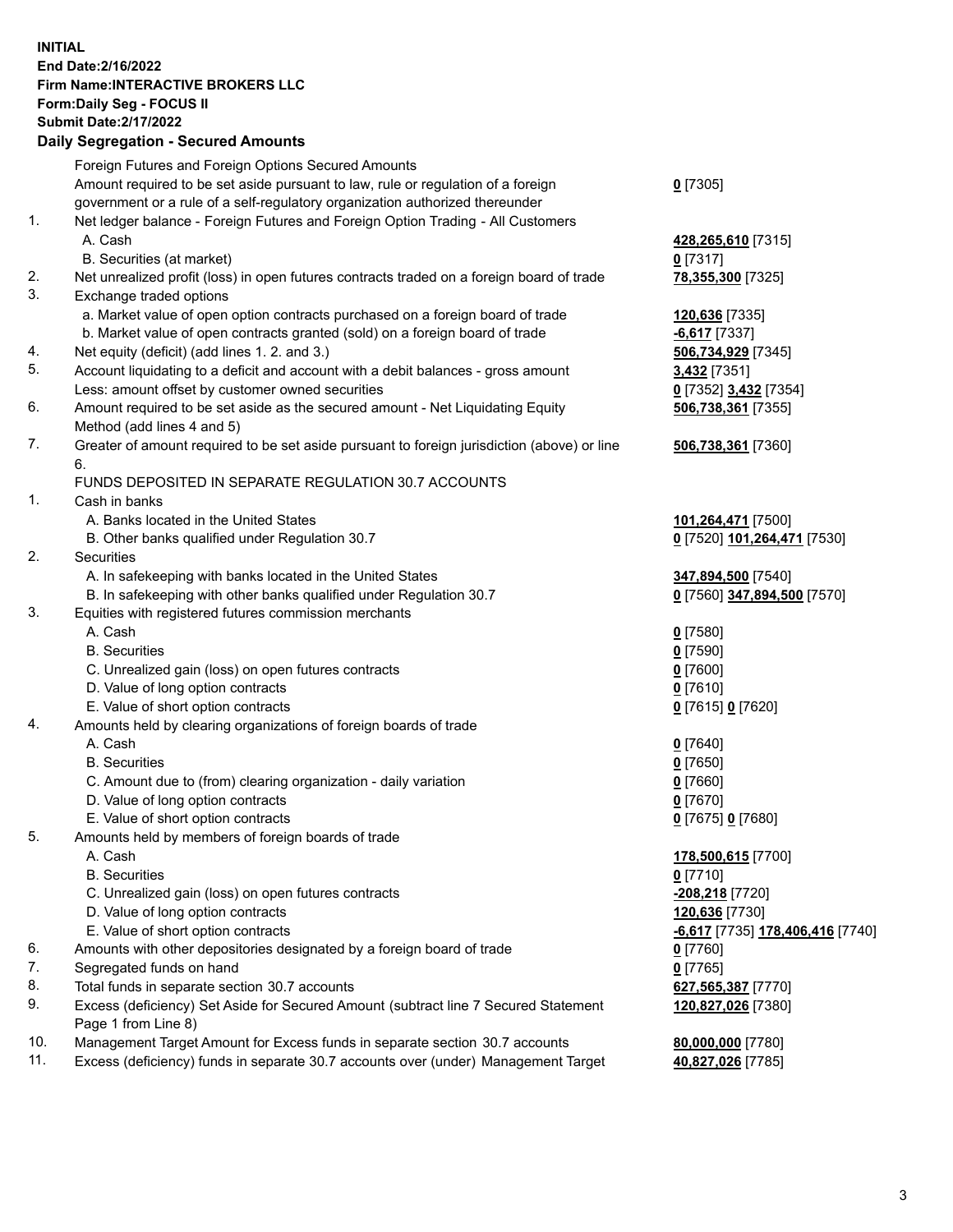**INITIAL End Date:2/16/2022 Firm Name:INTERACTIVE BROKERS LLC Form:Daily Seg - FOCUS II Submit Date:2/17/2022 Daily Segregation - Secured Amounts**

## Foreign Futures and Foreign Options Secured Amounts Amount required to be set aside pursuant to law, rule or regulation of a foreign government or a rule of a self-regulatory organization authorized thereunder **0** [7305] 1. Net ledger balance - Foreign Futures and Foreign Option Trading - All Customers A. Cash **428,265,610** [7315] B. Securities (at market) **0** [7317] 2. Net unrealized profit (loss) in open futures contracts traded on a foreign board of trade **78,355,300** [7325] 3. Exchange traded options a. Market value of open option contracts purchased on a foreign board of trade **120,636** [7335] b. Market value of open contracts granted (sold) on a foreign board of trade **-6,617** [7337] 4. Net equity (deficit) (add lines 1. 2. and 3.) **506,734,929** [7345] 5. Account liquidating to a deficit and account with a debit balances - gross amount **3,432** [7351] Less: amount offset by customer owned securities **0** [7352] **3,432** [7354] 6. Amount required to be set aside as the secured amount - Net Liquidating Equity Method (add lines 4 and 5) **506,738,361** [7355] 7. Greater of amount required to be set aside pursuant to foreign jurisdiction (above) or line 6. **506,738,361** [7360] FUNDS DEPOSITED IN SEPARATE REGULATION 30.7 ACCOUNTS 1. Cash in banks A. Banks located in the United States **101,264,471** [7500] B. Other banks qualified under Regulation 30.7 **0** [7520] **101,264,471** [7530] 2. Securities A. In safekeeping with banks located in the United States **347,894,500** [7540] B. In safekeeping with other banks qualified under Regulation 30.7 **0** [7560] **347,894,500** [7570] 3. Equities with registered futures commission merchants A. Cash **0** [7580] B. Securities **0** [7590] C. Unrealized gain (loss) on open futures contracts **0** [7600] D. Value of long option contracts **0** [7610] E. Value of short option contracts **0** [7615] **0** [7620] 4. Amounts held by clearing organizations of foreign boards of trade A. Cash **0** [7640] B. Securities **0** [7650] C. Amount due to (from) clearing organization - daily variation **0** [7660] D. Value of long option contracts **0** [7670] E. Value of short option contracts **0** [7675] **0** [7680] 5. Amounts held by members of foreign boards of trade A. Cash **178,500,615** [7700] B. Securities **0** [7710] C. Unrealized gain (loss) on open futures contracts **-208,218** [7720] D. Value of long option contracts **120,636** [7730] E. Value of short option contracts **-6,617** [7735] **178,406,416** [7740] 6. Amounts with other depositories designated by a foreign board of trade **0** [7760] 7. Segregated funds on hand **0** [7765] 8. Total funds in separate section 30.7 accounts **627,565,387** [7770] 9. Excess (deficiency) Set Aside for Secured Amount (subtract line 7 Secured Statement Page 1 from Line 8) **120,827,026** [7380] 10. Management Target Amount for Excess funds in separate section 30.7 accounts **80,000,000** [7780] 11. Excess (deficiency) funds in separate 30.7 accounts over (under) Management Target **40,827,026** [7785]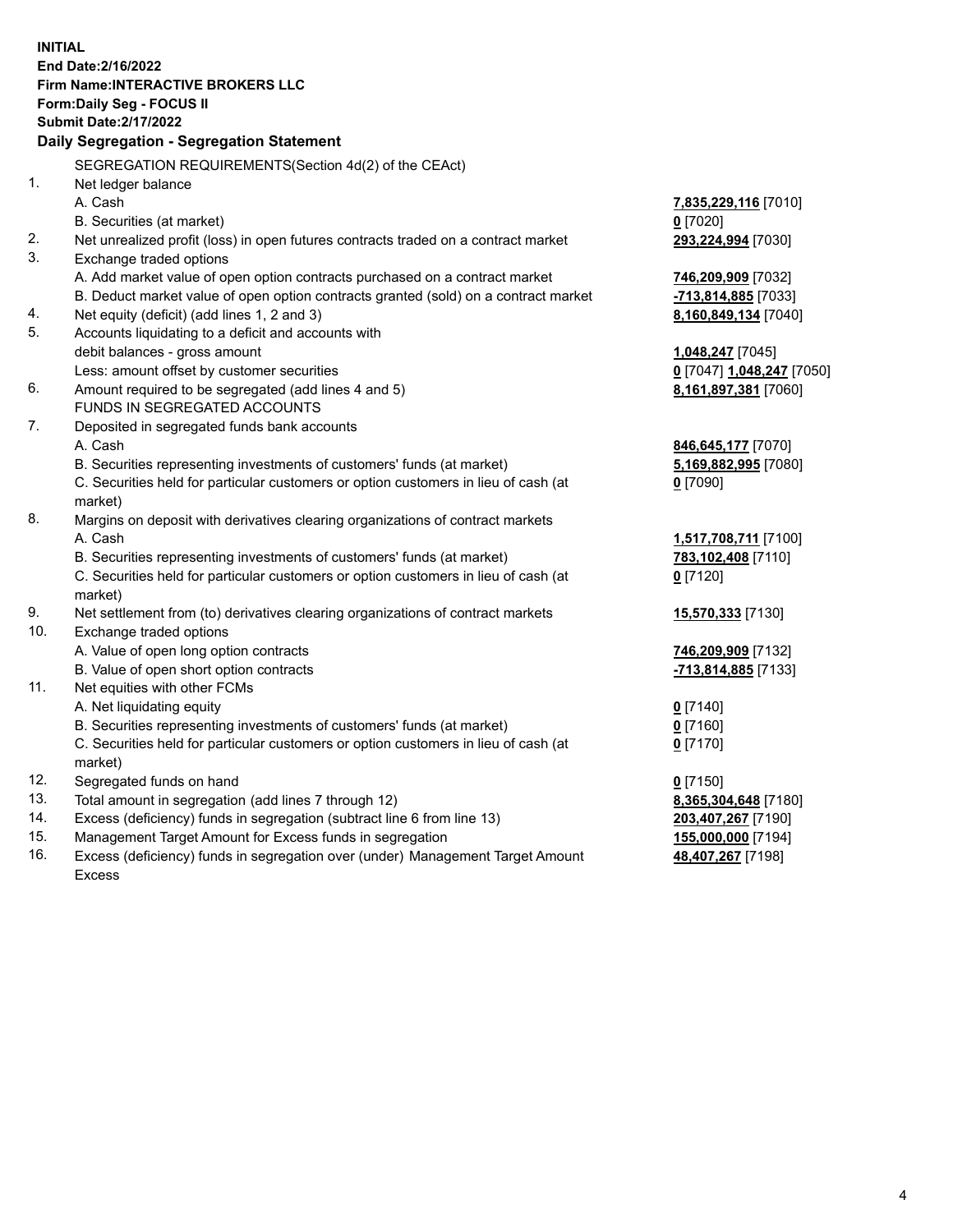**INITIAL End Date:2/16/2022 Firm Name:INTERACTIVE BROKERS LLC Form:Daily Seg - FOCUS II Submit Date:2/17/2022 Daily Segregation - Segregation Statement** SEGREGATION REQUIREMENTS(Section 4d(2) of the CEAct) 1. Net ledger balance A. Cash **7,835,229,116** [7010] B. Securities (at market) **0** [7020] 2. Net unrealized profit (loss) in open futures contracts traded on a contract market **293,224,994** [7030] 3. Exchange traded options A. Add market value of open option contracts purchased on a contract market **746,209,909** [7032] B. Deduct market value of open option contracts granted (sold) on a contract market **-713,814,885** [7033] 4. Net equity (deficit) (add lines 1, 2 and 3) **8,160,849,134** [7040] 5. Accounts liquidating to a deficit and accounts with debit balances - gross amount **1,048,247** [7045] Less: amount offset by customer securities **0** [7047] **1,048,247** [7050] 6. Amount required to be segregated (add lines 4 and 5) **8,161,897,381** [7060] FUNDS IN SEGREGATED ACCOUNTS 7. Deposited in segregated funds bank accounts A. Cash **846,645,177** [7070] B. Securities representing investments of customers' funds (at market) **5,169,882,995** [7080] C. Securities held for particular customers or option customers in lieu of cash (at market) **0** [7090] 8. Margins on deposit with derivatives clearing organizations of contract markets A. Cash **1,517,708,711** [7100] B. Securities representing investments of customers' funds (at market) **783,102,408** [7110] C. Securities held for particular customers or option customers in lieu of cash (at market) **0** [7120] 9. Net settlement from (to) derivatives clearing organizations of contract markets **15,570,333** [7130] 10. Exchange traded options A. Value of open long option contracts **746,209,909** [7132] B. Value of open short option contracts **-713,814,885** [7133] 11. Net equities with other FCMs A. Net liquidating equity **0** [7140] B. Securities representing investments of customers' funds (at market) **0** [7160] C. Securities held for particular customers or option customers in lieu of cash (at market) **0** [7170] 12. Segregated funds on hand **0** [7150] 13. Total amount in segregation (add lines 7 through 12) **8,365,304,648** [7180] 14. Excess (deficiency) funds in segregation (subtract line 6 from line 13) **203,407,267** [7190] 15. Management Target Amount for Excess funds in segregation **155,000,000** [7194]

16. Excess (deficiency) funds in segregation over (under) Management Target Amount Excess

**48,407,267** [7198]